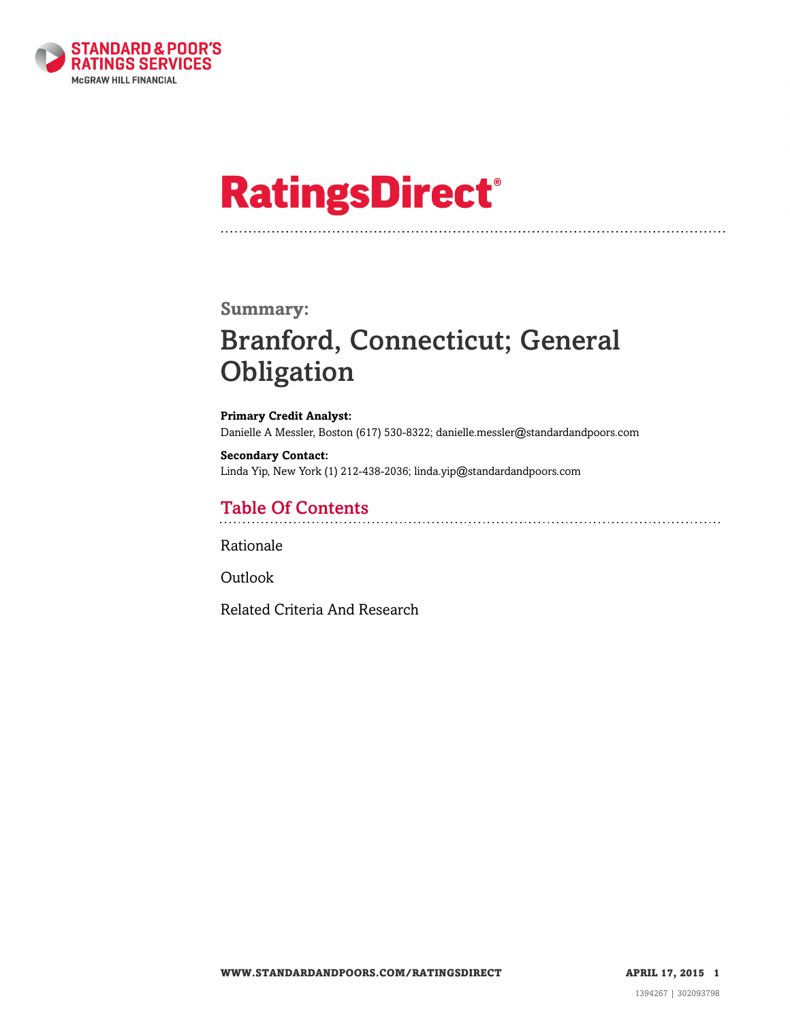

# **RatingsDirect®**

### **Summary:**

# Branford, Connecticut; General **Obligation**

**Primary Credit Analyst:** Danielle A Messler, Boston (617) 530-8322; danielle.messler@standardandpoors.com

**Secondary Contact:** Linda Yip, New York (1) 212-438-2036; linda.yip@standardandpoors.com

# Table Of Contents

[Rationale](#page-1-0)

[Outlook](#page-3-0)

[Related Criteria And Research](#page-3-1)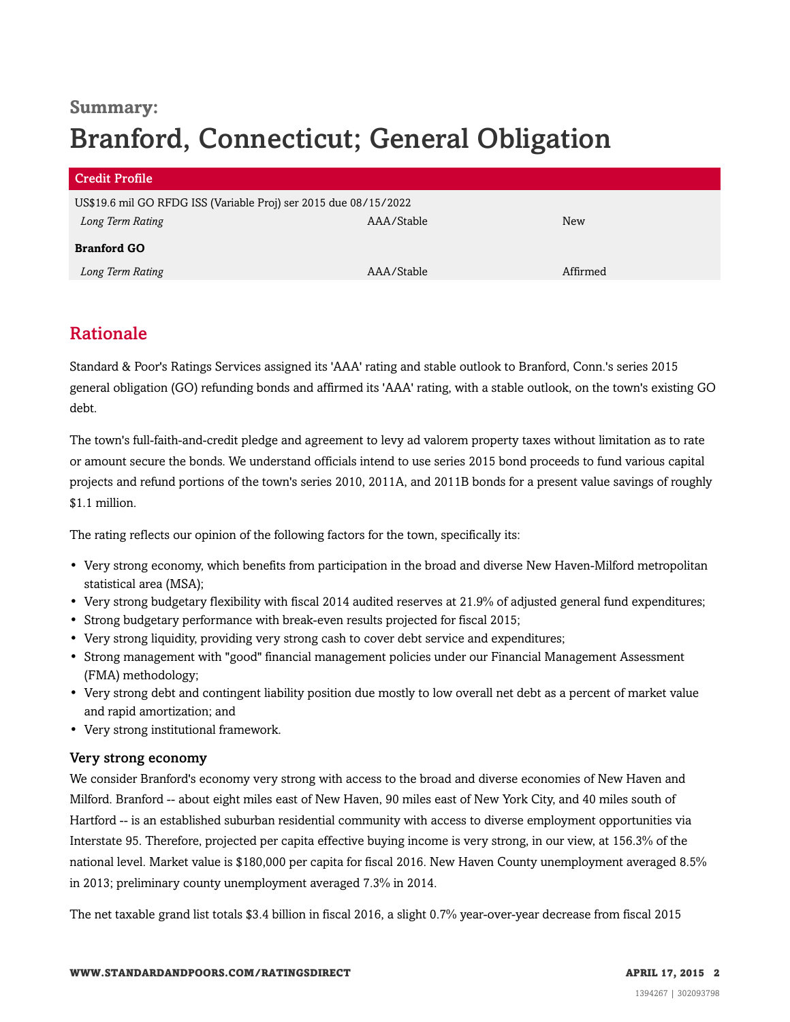# **Summary:** Branford, Connecticut; General Obligation

| <b>Credit Profile</b>                                            |            |          |
|------------------------------------------------------------------|------------|----------|
| US\$19.6 mil GO RFDG ISS (Variable Proj) ser 2015 due 08/15/2022 |            |          |
| Long Term Rating                                                 | AAA/Stable | New      |
| <b>Branford GO</b>                                               |            |          |
| Long Term Rating                                                 | AAA/Stable | Affirmed |

# <span id="page-1-0"></span>Rationale

Standard & Poor's Ratings Services assigned its 'AAA' rating and stable outlook to Branford, Conn.'s series 2015 general obligation (GO) refunding bonds and affirmed its 'AAA' rating, with a stable outlook, on the town's existing GO debt.

The town's full-faith-and-credit pledge and agreement to levy ad valorem property taxes without limitation as to rate or amount secure the bonds. We understand officials intend to use series 2015 bond proceeds to fund various capital projects and refund portions of the town's series 2010, 2011A, and 2011B bonds for a present value savings of roughly \$1.1 million.

The rating reflects our opinion of the following factors for the town, specifically its:

- Very strong economy, which benefits from participation in the broad and diverse New Haven-Milford metropolitan statistical area (MSA);
- Very strong budgetary flexibility with fiscal 2014 audited reserves at 21.9% of adjusted general fund expenditures;
- Strong budgetary performance with break-even results projected for fiscal 2015;
- Very strong liquidity, providing very strong cash to cover debt service and expenditures;
- Strong management with "good" financial management policies under our Financial Management Assessment (FMA) methodology;
- Very strong debt and contingent liability position due mostly to low overall net debt as a percent of market value and rapid amortization; and
- Very strong institutional framework.

#### Very strong economy

We consider Branford's economy very strong with access to the broad and diverse economies of New Haven and Milford. Branford -- about eight miles east of New Haven, 90 miles east of New York City, and 40 miles south of Hartford -- is an established suburban residential community with access to diverse employment opportunities via Interstate 95. Therefore, projected per capita effective buying income is very strong, in our view, at 156.3% of the national level. Market value is \$180,000 per capita for fiscal 2016. New Haven County unemployment averaged 8.5% in 2013; preliminary county unemployment averaged 7.3% in 2014.

The net taxable grand list totals \$3.4 billion in fiscal 2016, a slight 0.7% year-over-year decrease from fiscal 2015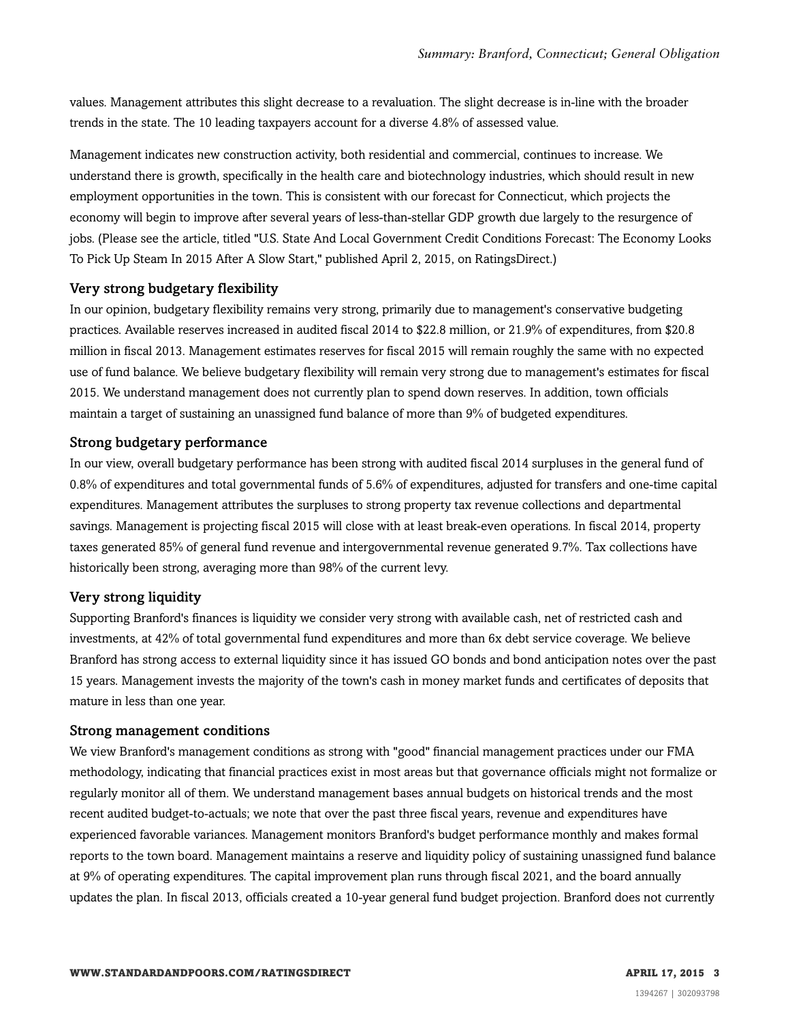values. Management attributes this slight decrease to a revaluation. The slight decrease is in-line with the broader trends in the state. The 10 leading taxpayers account for a diverse 4.8% of assessed value.

Management indicates new construction activity, both residential and commercial, continues to increase. We understand there is growth, specifically in the health care and biotechnology industries, which should result in new employment opportunities in the town. This is consistent with our forecast for Connecticut, which projects the economy will begin to improve after several years of less-than-stellar GDP growth due largely to the resurgence of jobs. (Please see the article, titled "U.S. State And Local Government Credit Conditions Forecast: The Economy Looks To Pick Up Steam In 2015 After A Slow Start," published April 2, 2015, on RatingsDirect.)

#### Very strong budgetary flexibility

In our opinion, budgetary flexibility remains very strong, primarily due to management's conservative budgeting practices. Available reserves increased in audited fiscal 2014 to \$22.8 million, or 21.9% of expenditures, from \$20.8 million in fiscal 2013. Management estimates reserves for fiscal 2015 will remain roughly the same with no expected use of fund balance. We believe budgetary flexibility will remain very strong due to management's estimates for fiscal 2015. We understand management does not currently plan to spend down reserves. In addition, town officials maintain a target of sustaining an unassigned fund balance of more than 9% of budgeted expenditures.

#### Strong budgetary performance

In our view, overall budgetary performance has been strong with audited fiscal 2014 surpluses in the general fund of 0.8% of expenditures and total governmental funds of 5.6% of expenditures, adjusted for transfers and one-time capital expenditures. Management attributes the surpluses to strong property tax revenue collections and departmental savings. Management is projecting fiscal 2015 will close with at least break-even operations. In fiscal 2014, property taxes generated 85% of general fund revenue and intergovernmental revenue generated 9.7%. Tax collections have historically been strong, averaging more than 98% of the current levy.

#### Very strong liquidity

Supporting Branford's finances is liquidity we consider very strong with available cash, net of restricted cash and investments, at 42% of total governmental fund expenditures and more than 6x debt service coverage. We believe Branford has strong access to external liquidity since it has issued GO bonds and bond anticipation notes over the past 15 years. Management invests the majority of the town's cash in money market funds and certificates of deposits that mature in less than one year.

#### Strong management conditions

We view Branford's management conditions as strong with "good" financial management practices under our FMA methodology, indicating that financial practices exist in most areas but that governance officials might not formalize or regularly monitor all of them. We understand management bases annual budgets on historical trends and the most recent audited budget-to-actuals; we note that over the past three fiscal years, revenue and expenditures have experienced favorable variances. Management monitors Branford's budget performance monthly and makes formal reports to the town board. Management maintains a reserve and liquidity policy of sustaining unassigned fund balance at 9% of operating expenditures. The capital improvement plan runs through fiscal 2021, and the board annually updates the plan. In fiscal 2013, officials created a 10-year general fund budget projection. Branford does not currently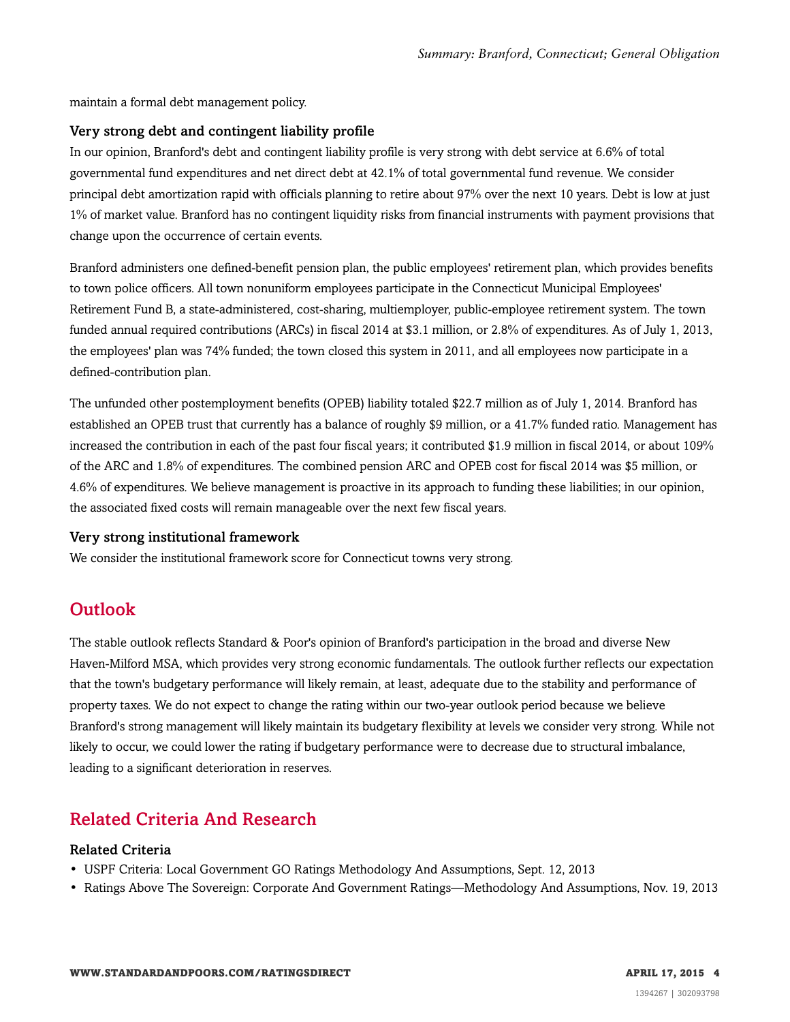maintain a formal debt management policy.

#### Very strong debt and contingent liability profile

In our opinion, Branford's debt and contingent liability profile is very strong with debt service at 6.6% of total governmental fund expenditures and net direct debt at 42.1% of total governmental fund revenue. We consider principal debt amortization rapid with officials planning to retire about 97% over the next 10 years. Debt is low at just 1% of market value. Branford has no contingent liquidity risks from financial instruments with payment provisions that change upon the occurrence of certain events.

Branford administers one defined-benefit pension plan, the public employees' retirement plan, which provides benefits to town police officers. All town nonuniform employees participate in the Connecticut Municipal Employees' Retirement Fund B, a state-administered, cost-sharing, multiemployer, public-employee retirement system. The town funded annual required contributions (ARCs) in fiscal 2014 at \$3.1 million, or 2.8% of expenditures. As of July 1, 2013, the employees' plan was 74% funded; the town closed this system in 2011, and all employees now participate in a defined-contribution plan.

The unfunded other postemployment benefits (OPEB) liability totaled \$22.7 million as of July 1, 2014. Branford has established an OPEB trust that currently has a balance of roughly \$9 million, or a 41.7% funded ratio. Management has increased the contribution in each of the past four fiscal years; it contributed \$1.9 million in fiscal 2014, or about 109% of the ARC and 1.8% of expenditures. The combined pension ARC and OPEB cost for fiscal 2014 was \$5 million, or 4.6% of expenditures. We believe management is proactive in its approach to funding these liabilities; in our opinion, the associated fixed costs will remain manageable over the next few fiscal years.

#### Very strong institutional framework

<span id="page-3-0"></span>We consider the institutional framework score for Connecticut towns very strong.

## **Outlook**

The stable outlook reflects Standard & Poor's opinion of Branford's participation in the broad and diverse New Haven-Milford MSA, which provides very strong economic fundamentals. The outlook further reflects our expectation that the town's budgetary performance will likely remain, at least, adequate due to the stability and performance of property taxes. We do not expect to change the rating within our two-year outlook period because we believe Branford's strong management will likely maintain its budgetary flexibility at levels we consider very strong. While not likely to occur, we could lower the rating if budgetary performance were to decrease due to structural imbalance, leading to a significant deterioration in reserves.

## <span id="page-3-1"></span>Related Criteria And Research

#### Related Criteria

- USPF Criteria: Local Government GO Ratings Methodology And Assumptions, Sept. 12, 2013
- Ratings Above The Sovereign: Corporate And Government Ratings—Methodology And Assumptions, Nov. 19, 2013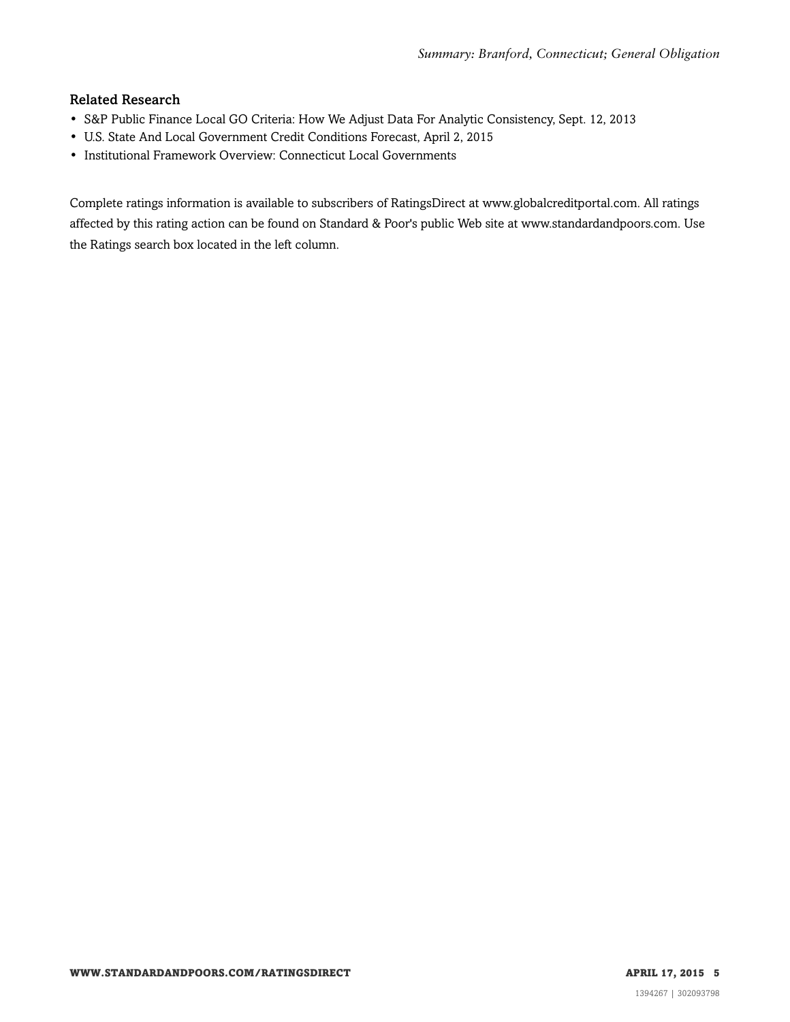#### Related Research

- S&P Public Finance Local GO Criteria: How We Adjust Data For Analytic Consistency, Sept. 12, 2013
- U.S. State And Local Government Credit Conditions Forecast, April 2, 2015
- Institutional Framework Overview: Connecticut Local Governments

Complete ratings information is available to subscribers of RatingsDirect at www.globalcreditportal.com. All ratings affected by this rating action can be found on Standard & Poor's public Web site at www.standardandpoors.com. Use the Ratings search box located in the left column.